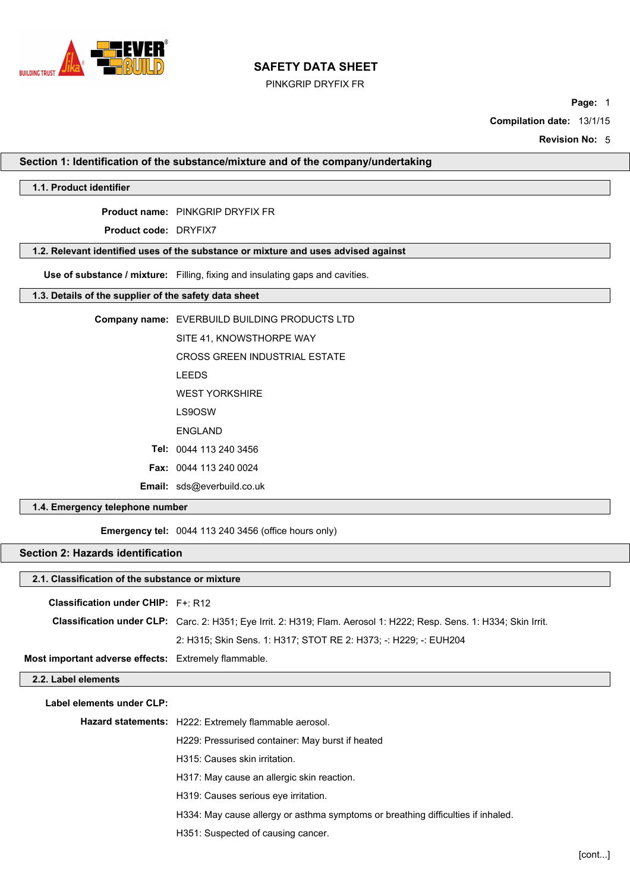

PINKGRIP DRYFIX FR

**Page:** 1

**Compilation date:** 13/1/15

**Revision No:** 5

**Section 1: Identification of the substance/mixture and of the company/undertaking**

## **1.1. Product identifier**

**Product name:** PINKGRIP DRYFIX FR

**Product code:** DRYFIX7

# **1.2. Relevant identified uses of the substance or mixture and uses advised against**

**Use of substance / mixture:** Filling, fixing and insulating gaps and cavities.

## **1.3. Details of the supplier of the safety data sheet**

| <b>Email:</b> sds@everbuild.co.uk             |
|-----------------------------------------------|
| <b>Fax: 0044 113 240 0024</b>                 |
| Tel: 0044 113 240 3456                        |
| <b>FNGI AND</b>                               |
| LS9OSW                                        |
| <b>WEST YORKSHIRE</b>                         |
| <b>LEEDS</b>                                  |
| <b>CROSS GREEN INDUSTRIAL ESTATE</b>          |
| SITE 41. KNOWSTHORPE WAY                      |
| Company name: EVERBUILD BUILDING PRODUCTS LTD |

## **1.4. Emergency telephone number**

**Emergency tel:** 0044 113 240 3456 (office hours only)

# **Section 2: Hazards identification**

## **2.1. Classification of the substance or mixture**

**Classification under CHIP:** F+: R12

| Classification under CLP: Carc. 2: H351; Eye Irrit. 2: H319; Flam. Aerosol 1: H222; Resp. Sens. 1: H334; Skin Irrit. |
|----------------------------------------------------------------------------------------------------------------------|
| 2: H315: Skin Sens. 1: H317: STOT RE 2: H373: -: H229: -: EUH204                                                     |

**Most important adverse effects:** Extremely flammable.

| 2.2. Label elements       |                                                                                  |
|---------------------------|----------------------------------------------------------------------------------|
| Label elements under CLP: |                                                                                  |
|                           | Hazard statements: H222: Extremely flammable aerosol.                            |
|                           | H229: Pressurised container: May burst if heated                                 |
|                           | H315: Causes skin irritation.                                                    |
|                           | H317: May cause an allergic skin reaction.                                       |
|                           | H319: Causes serious eye irritation.                                             |
|                           | H334: May cause allergy or asthma symptoms or breathing difficulties if inhaled. |
|                           | H351: Suspected of causing cancer.                                               |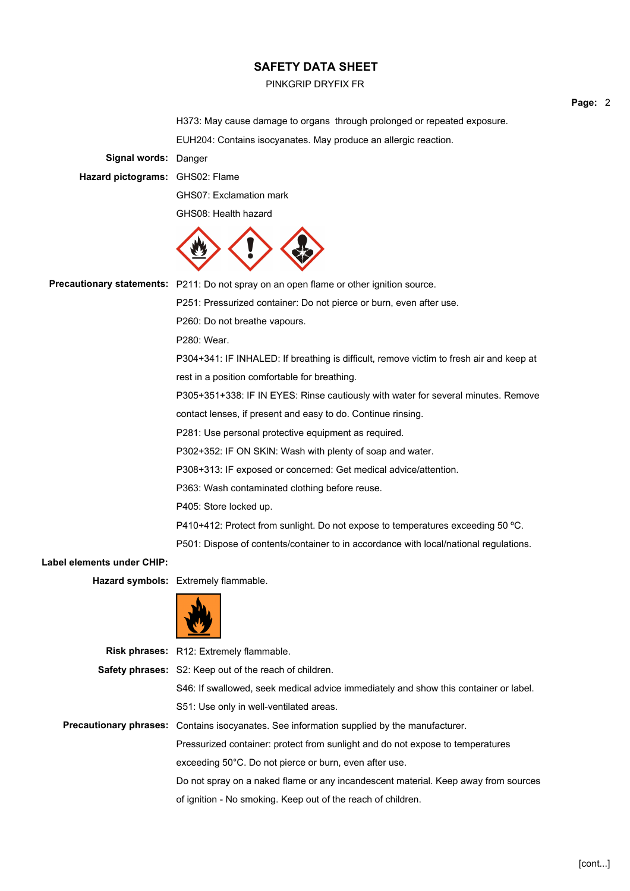#### PINKGRIP DRYFIX FR

H373: May cause damage to organs through prolonged or repeated exposure.

EUH204: Contains isocyanates. May produce an allergic reaction.

**Signal words:** Danger

**Hazard pictograms:** GHS02: Flame

GHS07: Exclamation mark

GHS08: Health hazard



Precautionary statements: P211: Do not spray on an open flame or other ignition source.

P251: Pressurized container: Do not pierce or burn, even after use.

P260: Do not breathe vapours.

P280: Wear.

P304+341: IF INHALED: If breathing is difficult, remove victim to fresh air and keep at rest in a position comfortable for breathing.

P305+351+338: IF IN EYES: Rinse cautiously with water for several minutes. Remove

contact lenses, if present and easy to do. Continue rinsing.

P281: Use personal protective equipment as required.

P302+352: IF ON SKIN: Wash with plenty of soap and water.

P308+313: IF exposed or concerned: Get medical advice/attention.

P363: Wash contaminated clothing before reuse.

P405: Store locked up.

P410+412: Protect from sunlight. Do not expose to temperatures exceeding 50 °C.

P501: Dispose of contents/container to in accordance with local/national regulations.

**Label elements under CHIP:**

**Hazard symbols:** Extremely flammable.



**Risk phrases:** R12: Extremely flammable. **Safety phrases:** S2: Keep out of the reach of children. S46: If swallowed, seek medical advice immediately and show this container or label. S51: Use only in well-ventilated areas. **Precautionary phrases:** Contains isocyanates. See information supplied by the manufacturer. Pressurized container: protect from sunlight and do not expose to temperatures exceeding 50°C. Do not pierce or burn, even after use. Do not spray on a naked flame or any incandescent material. Keep away from sources of ignition - No smoking. Keep out of the reach of children.

**Page:** 2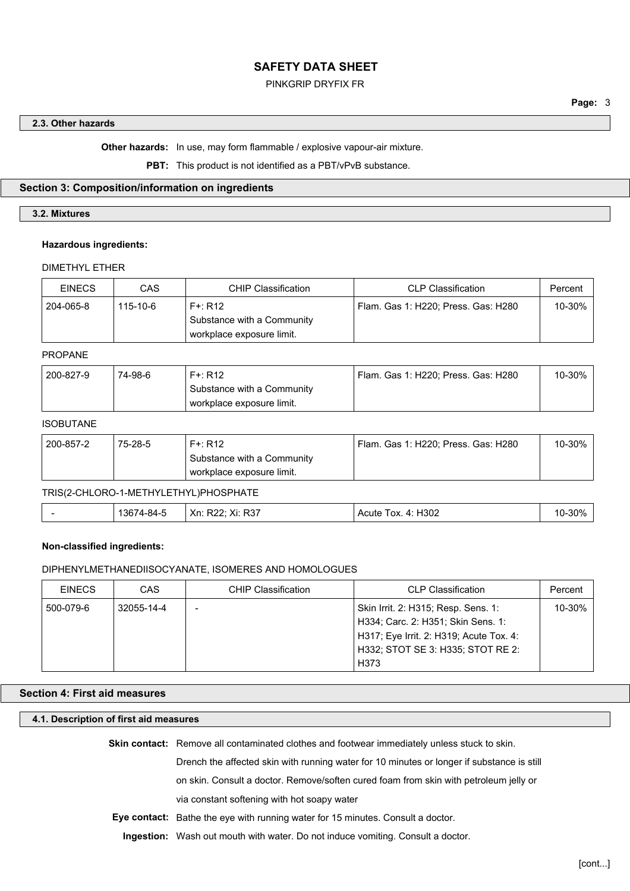## PINKGRIP DRYFIX FR

#### **2.3. Other hazards**

**Other hazards:** In use, may form flammable / explosive vapour-air mixture.

**PBT:** This product is not identified as a PBT/vPvB substance.

#### **Section 3: Composition/information on ingredients**

## **3.2. Mixtures**

#### **Hazardous ingredients:**

## DIMETHYL ETHER

| <b>EINECS</b> | CAS      | <b>CHIP Classification</b>                                            | CLP Classification                  | Percent |
|---------------|----------|-----------------------------------------------------------------------|-------------------------------------|---------|
| 204-065-8     | 115-10-6 | $F +: R12$<br>Substance with a Community<br>workplace exposure limit. | Flam. Gas 1: H220; Press. Gas: H280 | 10-30%  |

#### PROPANE

| 200-827-9 | 74-98-6 | $F +: R12$                 | Flam. Gas 1: H220: Press. Gas: H280 | 10-30% |
|-----------|---------|----------------------------|-------------------------------------|--------|
|           |         | Substance with a Community |                                     |        |
|           |         | workplace exposure limit.  |                                     |        |

#### ISOBUTANE

| 200-857-2 | 75-28-5 | $F +: R12$                 | Flam. Gas 1: H220; Press. Gas: H280 | 10-30% |
|-----------|---------|----------------------------|-------------------------------------|--------|
|           |         | Substance with a Community |                                     |        |
|           |         | workplace exposure limit.  |                                     |        |

## TRIS(2-CHLORO-1-METHYLETHYL)PHOSPHATE

| 13674-84-5 | Xn: R22: Xi: R37 | Acute Tox. 4: H302 | 10-30% |
|------------|------------------|--------------------|--------|
|            |                  |                    |        |

#### **Non-classified ingredients:**

#### DIPHENYLMETHANEDIISOCYANATE, ISOMERES AND HOMOLOGUES

| <b>EINECS</b> | CAS        | <b>CHIP Classification</b><br><b>CLP Classification</b> |                                                                                                                                                                   | Percent |
|---------------|------------|---------------------------------------------------------|-------------------------------------------------------------------------------------------------------------------------------------------------------------------|---------|
| 500-079-6     | 32055-14-4 | -                                                       | Skin Irrit. 2: H315; Resp. Sens. 1:<br>H334; Carc. 2: H351; Skin Sens. 1:<br>H317; Eye Irrit. 2: H319; Acute Tox. 4:<br>H332; STOT SE 3: H335; STOT RE 2:<br>H373 | 10-30%  |

## **Section 4: First aid measures**

#### **4.1. Description of first aid measures**

**Skin contact:** Remove all contaminated clothes and footwear immediately unless stuck to skin.

Drench the affected skin with running water for 10 minutes or longer if substance is still

on skin. Consult a doctor. Remove/soften cured foam from skin with petroleum jelly or

via constant softening with hot soapy water

**Eye contact:** Bathe the eye with running water for 15 minutes. Consult a doctor.

**Ingestion:** Wash out mouth with water. Do not induce vomiting. Consult a doctor.

**Page:** 3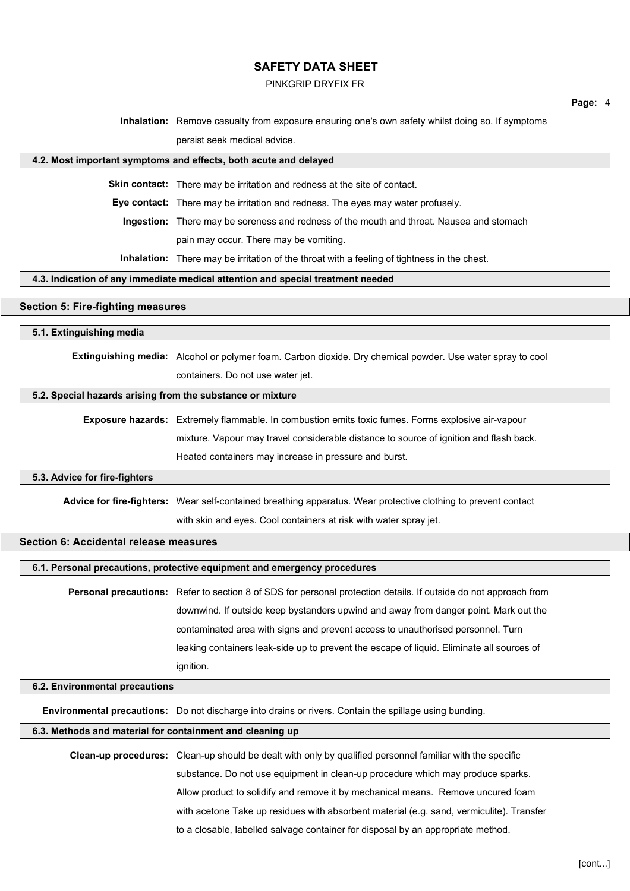#### PINKGRIP DRYFIX FR

**Page:** 4

**Inhalation:** Remove casualty from exposure ensuring one's own safety whilst doing so. If symptoms

persist seek medical advice.

#### **4.2. Most important symptoms and effects, both acute and delayed**

**Skin contact:** There may be irritation and redness at the site of contact.

**Eye contact:** There may be irritation and redness. The eyes may water profusely.

**Ingestion:** There may be soreness and redness of the mouth and throat. Nausea and stomach

pain may occur. There may be vomiting.

**Inhalation:** There may be irritation of the throat with a feeling of tightness in the chest.

#### **4.3. Indication of any immediate medical attention and special treatment needed**

## **Section 5: Fire-fighting measures**

#### **5.1. Extinguishing media**

**Extinguishing media:** Alcohol or polymer foam. Carbon dioxide. Dry chemical powder. Use water spray to cool containers. Do not use water jet.

#### **5.2. Special hazards arising from the substance or mixture**

) mixture. Vapour may travel considerable distance to source of ignition and flash back. **Exposure hazards:** Extremely flammable. In combustion emits toxic fumes. Forms explosive air-vapour Heated containers may increase in pressure and burst.

#### **5.3. Advice for fire-fighters**

**Advice for fire-fighters:** Wear self-contained breathing apparatus. Wear protective clothing to prevent contact

with skin and eyes. Cool containers at risk with water spray jet.

## **Section 6: Accidental release measures**

#### **6.1. Personal precautions, protective equipment and emergency procedures**

**Personal precautions:** Refer to section 8 of SDS for personal protection details. If outside do not approach from downwind. If outside keep bystanders upwind and away from danger point. Mark out the contaminated area with signs and prevent access to unauthorised personnel. Turn leaking containers leak-side up to prevent the escape of liquid. Eliminate all sources of ignition.

#### **6.2. Environmental precautions**

**Environmental precautions:** Do not discharge into drains or rivers. Contain the spillage using bunding.

#### **6.3. Methods and material for containment and cleaning up**

**Clean-up procedures:** Clean-up should be dealt with only by qualified personnel familiar with the specific substance. Do not use equipment in clean-up procedure which may produce sparks. Allow product to solidify and remove it by mechanical means. Remove uncured foam with acetone Take up residues with absorbent material (e.g. sand, vermiculite). Transfer to a closable, labelled salvage container for disposal by an appropriate method.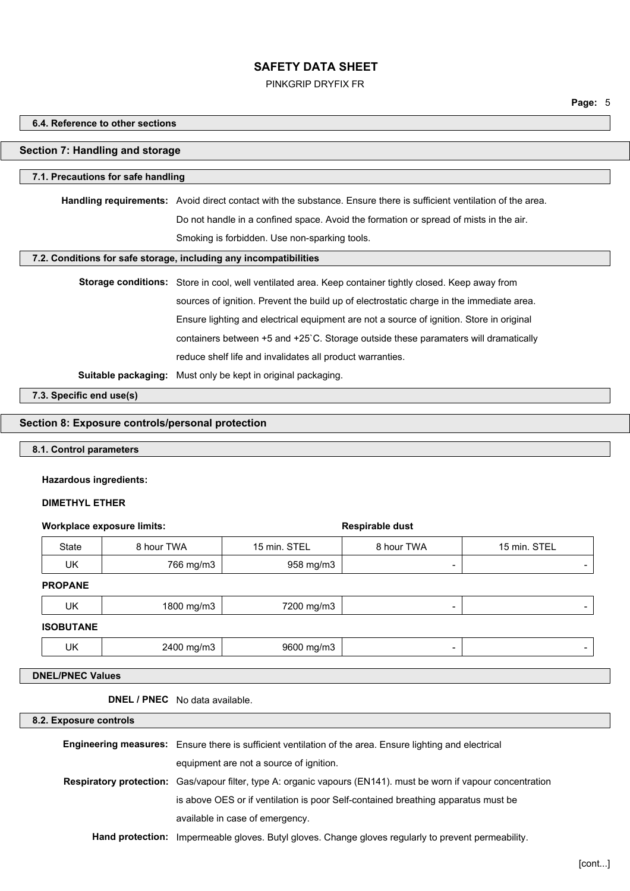PINKGRIP DRYFIX FR

**Page:** 5

## **6.4. Reference to other sections**

## **Section 7: Handling and storage**

## **7.1. Precautions for safe handling**

**Handling requirements:** Avoid direct contact with the substance. Ensure there is sufficient ventilation of the area. Do not handle in a confined space. Avoid the formation or spread of mists in the air. Smoking is forbidden. Use non-sparking tools.

#### **7.2. Conditions for safe storage, including any incompatibilities**

| Storage conditions: Store in cool, well ventilated area. Keep container tightly closed. Keep away from |
|--------------------------------------------------------------------------------------------------------|
| sources of ignition. Prevent the build up of electrostatic charge in the immediate area.               |
| Ensure lighting and electrical equipment are not a source of ignition. Store in original               |
| containers between +5 and +25 °C. Storage outside these paramaters will dramatically                   |
| reduce shelf life and invalidates all product warranties.                                              |
|                                                                                                        |

)

**Suitable packaging:** Must only be kept in original packaging.

**7.3. Specific end use(s)**

## **Section 8: Exposure controls/personal protection**

#### **8.1. Control parameters**

## **Hazardous ingredients:**

#### **DIMETHYL ETHER**

## **Workplace exposure limits: Respirable dust**

| State            | 8 hour TWA | 15 min. STEL | 8 hour TWA               | 15 min. STEL |
|------------------|------------|--------------|--------------------------|--------------|
| UK               | 766 mg/m3  | 958 mg/m3    | $\overline{\phantom{0}}$ |              |
| <b>PROPANE</b>   |            |              |                          |              |
| UK               | 1800 mg/m3 | 7200 mg/m3   | $\overline{\phantom{0}}$ |              |
| <b>ISOBUTANE</b> |            |              |                          |              |
| UK               | 2400 mg/m3 | 9600 mg/m3   | -                        |              |

#### **DNEL/PNEC Values**

**DNEL / PNEC** No data available.

**8.2. Exposure controls**

| <b>Engineering measures:</b> Ensure there is sufficient ventilation of the area. Ensure lighting and electrical         |
|-------------------------------------------------------------------------------------------------------------------------|
| equipment are not a source of ignition.                                                                                 |
| <b>Respiratory protection:</b> Gas/vapour filter, type A: organic vapours (EN141). must be worn if vapour concentration |
| is above OES or if ventilation is poor Self-contained breathing apparatus must be                                       |
| available in case of emergency.                                                                                         |
| <b>Hand protection:</b> Impermeable gloves. Butyl gloves. Change gloves regularly to prevent permeability.              |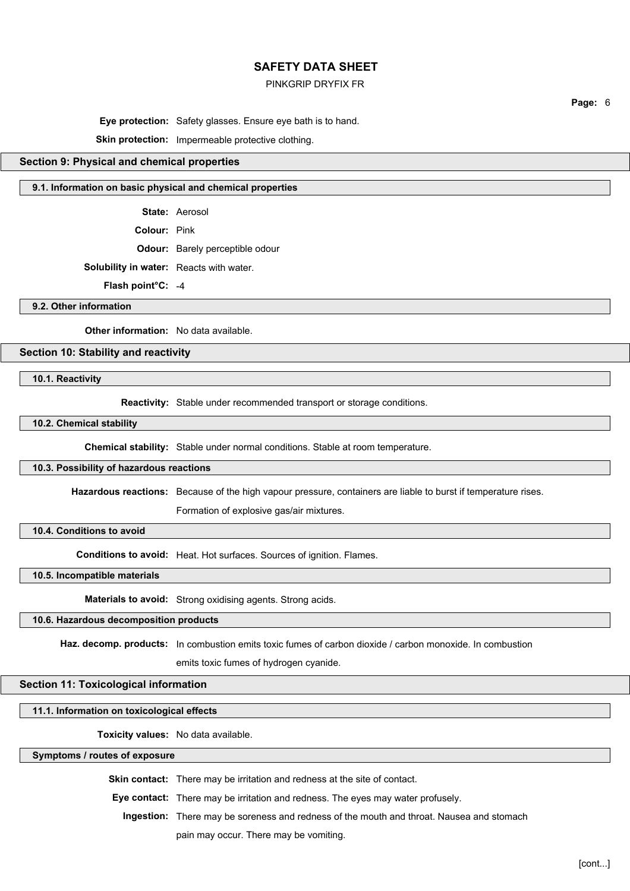#### PINKGRIP DRYFIX FR

**Page:** 6

**Eye protection:** Safety glasses. Ensure eye bath is to hand.

**Skin protection:** Impermeable protective clothing.

## **Section 9: Physical and chemical properties**

## **9.1. Information on basic physical and chemical properties**

**State:** Aerosol

**Colour:** Pink

**Odour:** Barely perceptible odour

**Solubility in water:** Reacts with water.

**Flash point°C:** -4

**9.2. Other information**

**Other information:** No data available.

# **Section 10: Stability and reactivity**

**10.1. Reactivity**

**Reactivity:** Stable under recommended transport or storage conditions.

**10.2. Chemical stability**

) **Chemical stability:** Stable under normal conditions. Stable at room temperature.

#### **10.3. Possibility of hazardous reactions**

**Hazardous reactions:** Because of the high vapour pressure, containers are liable to burst if temperature rises.

Formation of explosive gas/air mixtures.

**10.4. Conditions to avoid**

**Conditions to avoid:** Heat. Hot surfaces. Sources of ignition. Flames.

**10.5. Incompatible materials**

**Materials to avoid:** Strong oxidising agents. Strong acids.

## **10.6. Hazardous decomposition products**

**Haz. decomp. products:** In combustion emits toxic fumes of carbon dioxide / carbon monoxide. In combustion

emits toxic fumes of hydrogen cyanide.

#### **Section 11: Toxicological information**

## **11.1. Information on toxicological effects**

**Toxicity values:** No data available.

**Symptoms / routes of exposure**

**Skin contact:** There may be irritation and redness at the site of contact.

**Eye contact:** There may be irritation and redness. The eyes may water profusely.

**Ingestion:** There may be soreness and redness of the mouth and throat. Nausea and stomach

pain may occur. There may be vomiting.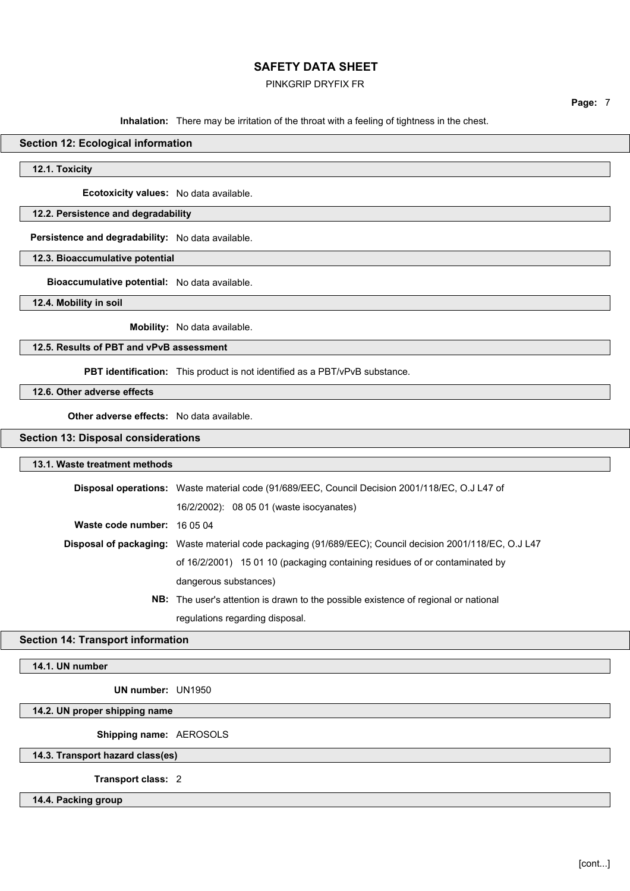## PINKGRIP DRYFIX FR

**Page:** 7

**Inhalation:** There may be irritation of the throat with a feeling of tightness in the chest.

## **Section 12: Ecological information**

**12.1. Toxicity**

**Ecotoxicity values:** No data available.

## **12.2. Persistence and degradability**

**Persistence and degradability:** No data available.

## **12.3. Bioaccumulative potential**

**Bioaccumulative potential:** No data available.

**12.4. Mobility in soil**

**Mobility:** No data available.

#### **12.5. Results of PBT and vPvB assessment**

**PBT identification:** This product is not identified as a PBT/vPvB substance.

## **12.6. Other adverse effects**

**Other adverse effects:** No data available.

## **Section 13: Disposal considerations**

#### **13.1. Waste treatment methods**

|                             | <b>Disposal operations:</b> Waste material code (91/689/EEC, Council Decision 2001/118/EC, O.J L47 of    |  |
|-----------------------------|----------------------------------------------------------------------------------------------------------|--|
|                             | 16/2/2002): 08 05 01 (waste isocyanates)                                                                 |  |
| Waste code number: 16 05 04 |                                                                                                          |  |
|                             | Disposal of packaging: Waste material code packaging (91/689/EEC); Council decision 2001/118/EC, O.J L47 |  |
|                             | of 16/2/2001) 15 01 10 (packaging containing residues of or contaminated by                              |  |
|                             | dangerous substances)                                                                                    |  |
|                             | NID. The correlational control descend to the procedule control of a structure to putter of              |  |

)

**NB:** The user's attention is drawn to the possible existence of regional or national regulations regarding disposal.

## **Section 14: Transport information**

**14.1. UN number**

**UN number:** UN1950

## **14.2. UN proper shipping name**

**Shipping name:** AEROSOLS

**14.3. Transport hazard class(es)**

**Transport class:** 2

# **14.4. Packing group**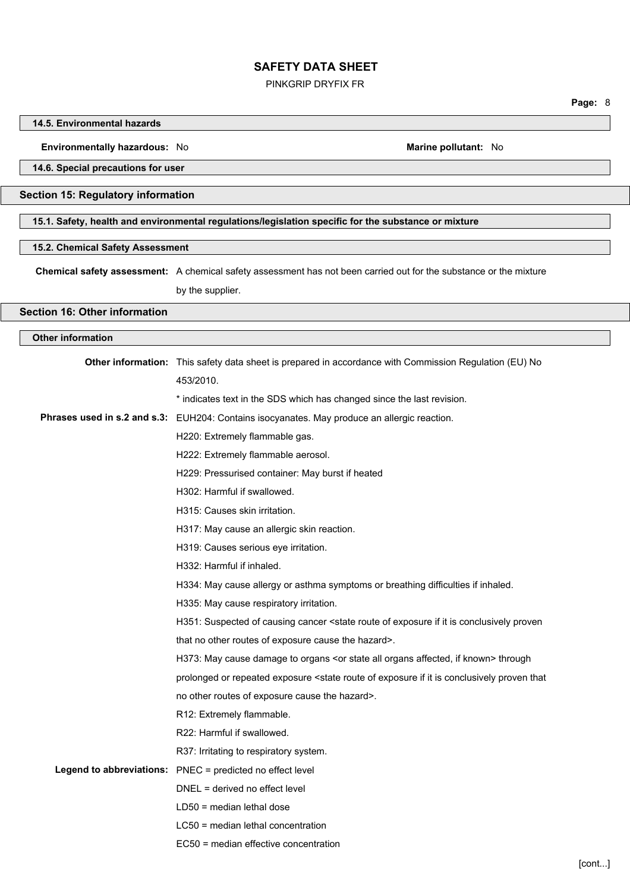PINKGRIP DRYFIX FR

## **14.5. Environmental hazards**

#### **Environmentally hazardous:** No **Marine pollutant:** No

**14.6. Special precautions for user**

## **Section 15: Regulatory information**

**15.1. Safety, health and environmental regulations/legislation specific for the substance or mixture**

# **15.2. Chemical Safety Assessment**

**Chemical safety assessment:** A chemical safety assessment has not been carried out for the substance or the mixture by the supplier.

## **Section 16: Other information**

#### **Other information**

| Other information: This safety data sheet is prepared in accordance with Commission Regulation (EU) No                               |
|--------------------------------------------------------------------------------------------------------------------------------------|
| 453/2010.                                                                                                                            |
| * indicates text in the SDS which has changed since the last revision.                                                               |
| Phrases used in s.2 and s.3: EUH204: Contains isocyanates. May produce an allergic reaction.                                         |
| H220: Extremely flammable gas.                                                                                                       |
| H222: Extremely flammable aerosol.                                                                                                   |
| H229: Pressurised container: May burst if heated                                                                                     |
| H302: Harmful if swallowed.                                                                                                          |
| H315: Causes skin irritation.                                                                                                        |
| H317: May cause an allergic skin reaction.                                                                                           |
| H319: Causes serious eye irritation.                                                                                                 |
| H332: Harmful if inhaled.                                                                                                            |
| H334: May cause allergy or asthma symptoms or breathing difficulties if inhaled.                                                     |
| H335: May cause respiratory irritation.                                                                                              |
| H351: Suspected of causing cancer <state conclusively="" exposure="" if="" is="" it="" of="" proven<="" route="" th=""></state>      |
| that no other routes of exposure cause the hazard>.                                                                                  |
| H373: May cause damage to organs <or affected,="" all="" if="" known="" organs="" state=""> through</or>                             |
| prolonged or repeated exposure <state conclusively="" exposure="" if="" is="" it="" of="" proven="" route="" th="" that<=""></state> |
| no other routes of exposure cause the hazard>.                                                                                       |
| R12: Extremely flammable.                                                                                                            |
| R22: Harmful if swallowed.                                                                                                           |
| R37: Irritating to respiratory system.                                                                                               |
| Legend to abbreviations: PNEC = predicted no effect level                                                                            |
| DNEL = derived no effect level                                                                                                       |
| $LD50$ = median lethal dose                                                                                                          |
| LC50 = median lethal concentration                                                                                                   |
| EC50 = median effective concentration                                                                                                |